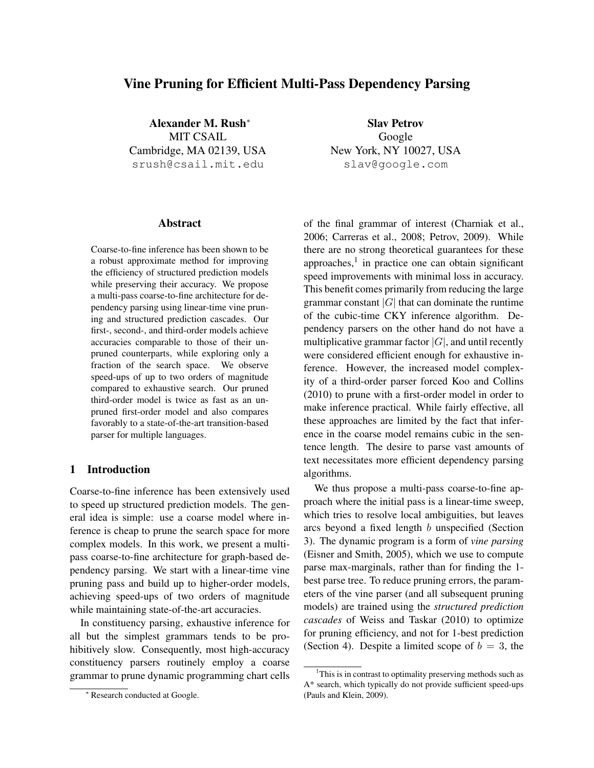# Vine Pruning for Efficient Multi-Pass Dependency Parsing

Alexander M. Rush<sup>∗</sup> MIT CSAIL Cambridge, MA 02139, USA srush@csail.mit.edu

Slav Petrov Google New York, NY 10027, USA slav@google.com

# Abstract

Coarse-to-fine inference has been shown to be a robust approximate method for improving the efficiency of structured prediction models while preserving their accuracy. We propose a multi-pass coarse-to-fine architecture for dependency parsing using linear-time vine pruning and structured prediction cascades. Our first-, second-, and third-order models achieve accuracies comparable to those of their unpruned counterparts, while exploring only a fraction of the search space. We observe speed-ups of up to two orders of magnitude compared to exhaustive search. Our pruned third-order model is twice as fast as an unpruned first-order model and also compares favorably to a state-of-the-art transition-based parser for multiple languages.

# 1 Introduction

Coarse-to-fine inference has been extensively used to speed up structured prediction models. The general idea is simple: use a coarse model where inference is cheap to prune the search space for more complex models. In this work, we present a multipass coarse-to-fine architecture for graph-based dependency parsing. We start with a linear-time vine pruning pass and build up to higher-order models, achieving speed-ups of two orders of magnitude while maintaining state-of-the-art accuracies.

In constituency parsing, exhaustive inference for all but the simplest grammars tends to be prohibitively slow. Consequently, most high-accuracy constituency parsers routinely employ a coarse grammar to prune dynamic programming chart cells of the final grammar of interest (Charniak et al., 2006; Carreras et al., 2008; Petrov, 2009). While there are no strong theoretical guarantees for these approaches, $<sup>1</sup>$  in practice one can obtain significant</sup> speed improvements with minimal loss in accuracy. This benefit comes primarily from reducing the large grammar constant  $|G|$  that can dominate the runtime of the cubic-time CKY inference algorithm. Dependency parsers on the other hand do not have a multiplicative grammar factor  $|G|$ , and until recently were considered efficient enough for exhaustive inference. However, the increased model complexity of a third-order parser forced Koo and Collins (2010) to prune with a first-order model in order to make inference practical. While fairly effective, all these approaches are limited by the fact that inference in the coarse model remains cubic in the sentence length. The desire to parse vast amounts of text necessitates more efficient dependency parsing algorithms.

We thus propose a multi-pass coarse-to-fine approach where the initial pass is a linear-time sweep, which tries to resolve local ambiguities, but leaves arcs beyond a fixed length b unspecified (Section 3). The dynamic program is a form of *vine parsing* (Eisner and Smith, 2005), which we use to compute parse max-marginals, rather than for finding the 1 best parse tree. To reduce pruning errors, the parameters of the vine parser (and all subsequent pruning models) are trained using the *structured prediction cascades* of Weiss and Taskar (2010) to optimize for pruning efficiency, and not for 1-best prediction (Section 4). Despite a limited scope of  $b = 3$ , the

<sup>∗</sup> Research conducted at Google.

<sup>&</sup>lt;sup>1</sup>This is in contrast to optimality preserving methods such as A\* search, which typically do not provide sufficient speed-ups (Pauls and Klein, 2009).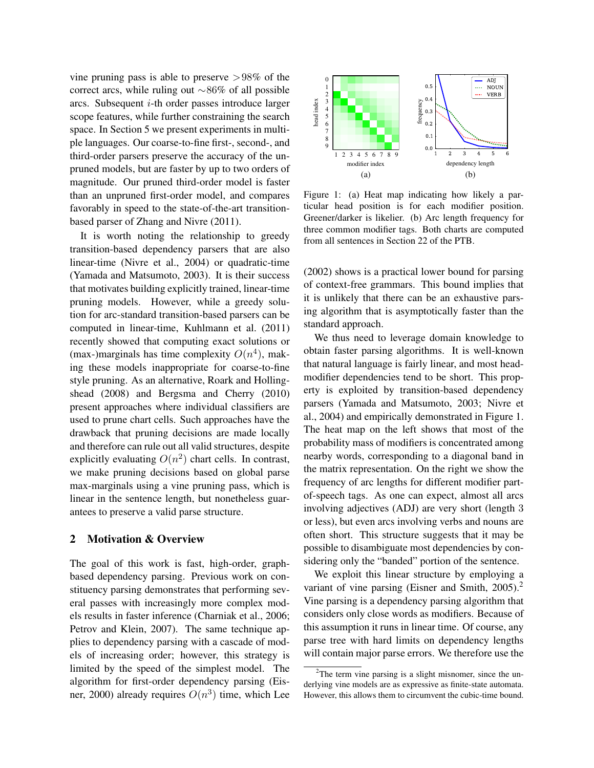vine pruning pass is able to preserve  $>98\%$  of the correct arcs, while ruling out ∼86% of all possible arcs. Subsequent  $i$ -th order passes introduce larger scope features, while further constraining the search space. In Section 5 we present experiments in multiple languages. Our coarse-to-fine first-, second-, and third-order parsers preserve the accuracy of the unpruned models, but are faster by up to two orders of magnitude. Our pruned third-order model is faster than an unpruned first-order model, and compares favorably in speed to the state-of-the-art transitionbased parser of Zhang and Nivre (2011).

It is worth noting the relationship to greedy transition-based dependency parsers that are also linear-time (Nivre et al., 2004) or quadratic-time (Yamada and Matsumoto, 2003). It is their success that motivates building explicitly trained, linear-time pruning models. However, while a greedy solution for arc-standard transition-based parsers can be computed in linear-time, Kuhlmann et al. (2011) recently showed that computing exact solutions or (max-)marginals has time complexity  $O(n^4)$ , making these models inappropriate for coarse-to-fine style pruning. As an alternative, Roark and Hollingshead (2008) and Bergsma and Cherry (2010) present approaches where individual classifiers are used to prune chart cells. Such approaches have the drawback that pruning decisions are made locally and therefore can rule out all valid structures, despite explicitly evaluating  $O(n^2)$  chart cells. In contrast, we make pruning decisions based on global parse max-marginals using a vine pruning pass, which is linear in the sentence length, but nonetheless guarantees to preserve a valid parse structure.

### 2 Motivation & Overview

The goal of this work is fast, high-order, graphbased dependency parsing. Previous work on constituency parsing demonstrates that performing several passes with increasingly more complex models results in faster inference (Charniak et al., 2006; Petrov and Klein, 2007). The same technique applies to dependency parsing with a cascade of models of increasing order; however, this strategy is limited by the speed of the simplest model. The algorithm for first-order dependency parsing (Eisner, 2000) already requires  $O(n^3)$  time, which Lee



Figure 1: (a) Heat map indicating how likely a particular head position is for each modifier position. Greener/darker is likelier. (b) Arc length frequency for three common modifier tags. Both charts are computed from all sentences in Section 22 of the PTB.

(2002) shows is a practical lower bound for parsing of context-free grammars. This bound implies that it is unlikely that there can be an exhaustive parsing algorithm that is asymptotically faster than the standard approach.

We thus need to leverage domain knowledge to obtain faster parsing algorithms. It is well-known that natural language is fairly linear, and most headmodifier dependencies tend to be short. This property is exploited by transition-based dependency parsers (Yamada and Matsumoto, 2003; Nivre et al., 2004) and empirically demonstrated in Figure 1. The heat map on the left shows that most of the probability mass of modifiers is concentrated among nearby words, corresponding to a diagonal band in the matrix representation. On the right we show the frequency of arc lengths for different modifier partof-speech tags. As one can expect, almost all arcs involving adjectives (ADJ) are very short (length 3 or less), but even arcs involving verbs and nouns are often short. This structure suggests that it may be possible to disambiguate most dependencies by considering only the "banded" portion of the sentence.

We exploit this linear structure by employing a variant of vine parsing (Eisner and Smith, 2005).<sup>2</sup> Vine parsing is a dependency parsing algorithm that considers only close words as modifiers. Because of this assumption it runs in linear time. Of course, any parse tree with hard limits on dependency lengths will contain major parse errors. We therefore use the

 $2$ The term vine parsing is a slight misnomer, since the underlying vine models are as expressive as finite-state automata. However, this allows them to circumvent the cubic-time bound.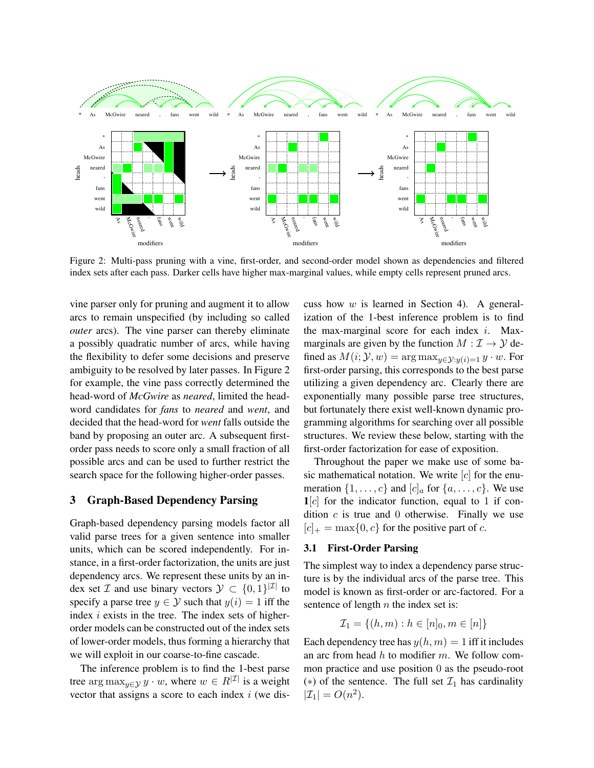

Figure 2: Multi-pass pruning with a vine, first-order, and second-order model shown as dependencies and filtered index sets after each pass. Darker cells have higher max-marginal values, while empty cells represent pruned arcs.

vine parser only for pruning and augment it to allow arcs to remain unspecified (by including so called *outer* arcs). The vine parser can thereby eliminate a possibly quadratic number of arcs, while having the flexibility to defer some decisions and preserve ambiguity to be resolved by later passes. In Figure 2 for example, the vine pass correctly determined the head-word of *McGwire* as *neared*, limited the headword candidates for *fans* to *neared* and *went*, and decided that the head-word for *went* falls outside the band by proposing an outer arc. A subsequent firstorder pass needs to score only a small fraction of all possible arcs and can be used to further restrict the search space for the following higher-order passes.

#### 3 Graph-Based Dependency Parsing

Graph-based dependency parsing models factor all valid parse trees for a given sentence into smaller units, which can be scored independently. For instance, in a first-order factorization, the units are just dependency arcs. We represent these units by an index set  $\mathcal I$  and use binary vectors  $\mathcal Y \subset \{0,1\}^{|\mathcal I|}$  to specify a parse tree  $y \in Y$  such that  $y(i) = 1$  iff the index  $i$  exists in the tree. The index sets of higherorder models can be constructed out of the index sets of lower-order models, thus forming a hierarchy that we will exploit in our coarse-to-fine cascade.

The inference problem is to find the 1-best parse tree arg max<sub> $y \in Y$ </sub>  $y \cdot w$ , where  $w \in R^{|\mathcal{I}|}$  is a weight vector that assigns a score to each index  $i$  (we discuss how  $w$  is learned in Section 4). A generalization of the 1-best inference problem is to find the max-marginal score for each index  $i$ . Maxmarginals are given by the function  $M : \mathcal{I} \to \mathcal{Y}$  defined as  $M(i; \mathcal{Y}, w) = \arg \max_{u \in \mathcal{Y}: y(i) = 1} y \cdot w$ . For first-order parsing, this corresponds to the best parse utilizing a given dependency arc. Clearly there are exponentially many possible parse tree structures, but fortunately there exist well-known dynamic programming algorithms for searching over all possible structures. We review these below, starting with the first-order factorization for ease of exposition.

Throughout the paper we make use of some basic mathematical notation. We write  $[c]$  for the enumeration  $\{1, \ldots, c\}$  and  $[c]_a$  for  $\{a, \ldots, c\}$ . We use  $1[c]$  for the indicator function, equal to 1 if condition  $c$  is true and 0 otherwise. Finally we use  $[c]_+ = \max\{0, c\}$  for the positive part of c.

#### 3.1 First-Order Parsing

The simplest way to index a dependency parse structure is by the individual arcs of the parse tree. This model is known as first-order or arc-factored. For a sentence of length  $n$  the index set is:

$$
\mathcal{I}_1 = \{(h, m) : h \in [n]_0, m \in [n]\}
$$

Each dependency tree has  $y(h, m) = 1$  iff it includes an arc from head  $h$  to modifier  $m$ . We follow common practice and use position 0 as the pseudo-root (\*) of the sentence. The full set  $\mathcal{I}_1$  has cardinality  $|\mathcal{I}_1| = O(n^2).$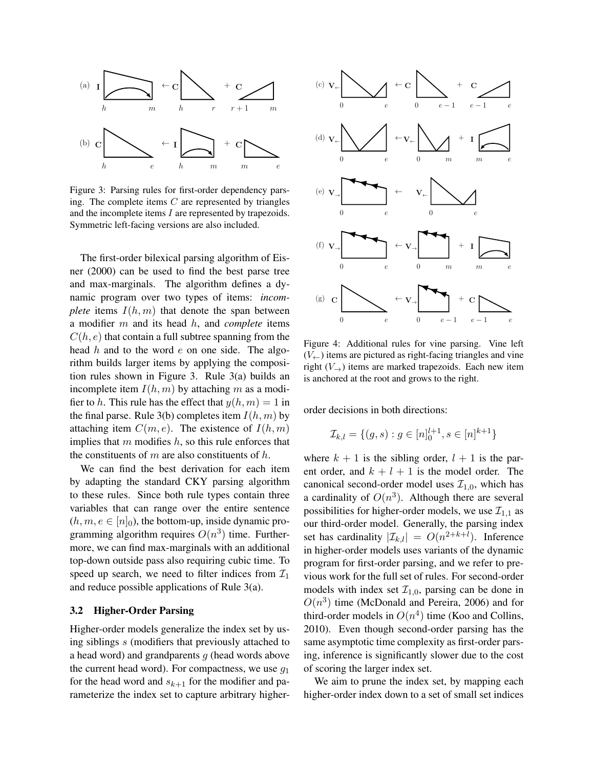

Figure 3: Parsing rules for first-order dependency parsing. The complete items  $C$  are represented by triangles and the incomplete items I are represented by trapezoids. Symmetric left-facing versions are also included.

The first-order bilexical parsing algorithm of Eisner (2000) can be used to find the best parse tree and max-marginals. The algorithm defines a dynamic program over two types of items: *incomplete* items  $I(h, m)$  that denote the span between a modifier m and its head h, and *complete* items  $C(h, e)$  that contain a full subtree spanning from the head  $h$  and to the word  $e$  on one side. The algorithm builds larger items by applying the composition rules shown in Figure 3. Rule 3(a) builds an incomplete item  $I(h, m)$  by attaching m as a modifier to h. This rule has the effect that  $y(h, m) = 1$  in the final parse. Rule 3(b) completes item  $I(h, m)$  by attaching item  $C(m, e)$ . The existence of  $I(h, m)$ implies that  $m$  modifies  $h$ , so this rule enforces that the constituents of  $m$  are also constituents of  $h$ .

We can find the best derivation for each item by adapting the standard CKY parsing algorithm to these rules. Since both rule types contain three variables that can range over the entire sentence  $(h, m, e \in [n]_0)$ , the bottom-up, inside dynamic programming algorithm requires  $O(n^3)$  time. Furthermore, we can find max-marginals with an additional top-down outside pass also requiring cubic time. To speed up search, we need to filter indices from  $\mathcal{I}_1$ and reduce possible applications of Rule 3(a).

#### 3.2 Higher-Order Parsing

Higher-order models generalize the index set by using siblings s (modifiers that previously attached to a head word) and grandparents  $g$  (head words above the current head word). For compactness, we use  $q_1$ for the head word and  $s_{k+1}$  for the modifier and parameterize the index set to capture arbitrary higher-



Figure 4: Additional rules for vine parsing. Vine left  $(V_{\leftarrow})$  items are pictured as right-facing triangles and vine right  $(V_{\rightarrow})$  items are marked trapezoids. Each new item is anchored at the root and grows to the right.

order decisions in both directions:

$$
\mathcal{I}_{k,l} = \{(g,s) : g \in [n]_0^{l+1}, s \in [n]^{k+1}\}
$$

where  $k + 1$  is the sibling order,  $l + 1$  is the parent order, and  $k + l + 1$  is the model order. The canonical second-order model uses  $\mathcal{I}_{1,0}$ , which has a cardinality of  $O(n^3)$ . Although there are several possibilities for higher-order models, we use  $\mathcal{I}_{1,1}$  as our third-order model. Generally, the parsing index set has cardinality  $|\mathcal{I}_{k,l}| = O(n^{2+k+l})$ . Inference in higher-order models uses variants of the dynamic program for first-order parsing, and we refer to previous work for the full set of rules. For second-order models with index set  $\mathcal{I}_{1,0}$ , parsing can be done in  $O(n^3)$  time (McDonald and Pereira, 2006) and for third-order models in  $O(n^4)$  time (Koo and Collins, 2010). Even though second-order parsing has the same asymptotic time complexity as first-order parsing, inference is significantly slower due to the cost of scoring the larger index set.

We aim to prune the index set, by mapping each higher-order index down to a set of small set indices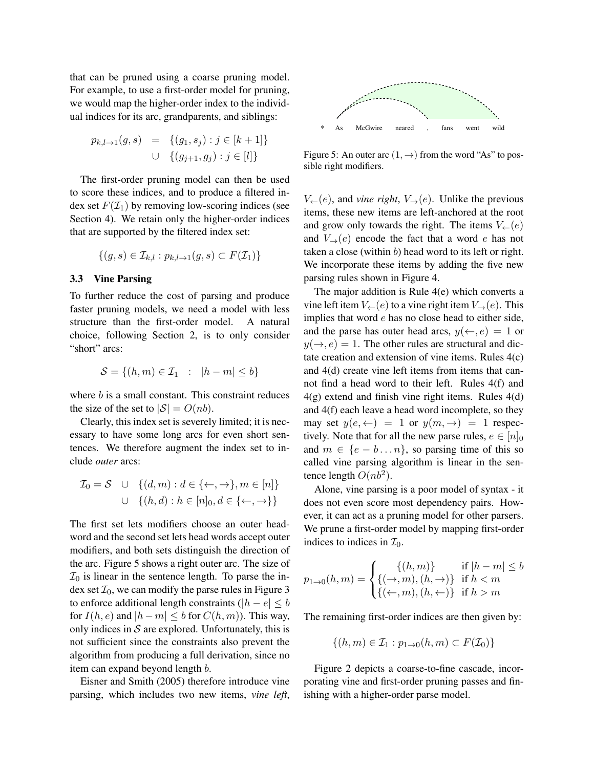that can be pruned using a coarse pruning model. For example, to use a first-order model for pruning, we would map the higher-order index to the individual indices for its arc, grandparents, and siblings:

$$
p_{k,l \to 1}(g, s) = \{(g_1, s_j) : j \in [k+1] \}
$$
  

$$
\cup \{(g_{j+1}, g_j) : j \in [l] \}
$$

The first-order pruning model can then be used to score these indices, and to produce a filtered index set  $F(\mathcal{I}_1)$  by removing low-scoring indices (see Section 4). We retain only the higher-order indices that are supported by the filtered index set:

$$
\{(g,s)\in\mathcal{I}_{k,l}:p_{k,l\to 1}(g,s)\subset F(\mathcal{I}_1)\}
$$

#### 3.3 Vine Parsing

To further reduce the cost of parsing and produce faster pruning models, we need a model with less structure than the first-order model. A natural choice, following Section 2, is to only consider "short" arcs:

$$
\mathcal{S} = \{(h, m) \in \mathcal{I}_1 : |h - m| \le b\}
$$

where  $b$  is a small constant. This constraint reduces the size of the set to  $|S| = O(nb)$ .

Clearly, this index set is severely limited; it is necessary to have some long arcs for even short sentences. We therefore augment the index set to include *outer* arcs:

$$
\mathcal{I}_0 = \mathcal{S} \quad \cup \quad \{(d, m) : d \in \{\leftarrow, \rightarrow\}, m \in [n]\}
$$

$$
\cup \quad \{(h, d) : h \in [n]_0, d \in \{\leftarrow, \rightarrow\}\}
$$

The first set lets modifiers choose an outer headword and the second set lets head words accept outer modifiers, and both sets distinguish the direction of the arc. Figure 5 shows a right outer arc. The size of  $\mathcal{I}_0$  is linear in the sentence length. To parse the index set  $\mathcal{I}_0$ , we can modify the parse rules in Figure 3 to enforce additional length constraints ( $|h - e| \leq b$ for  $I(h, e)$  and  $|h - m| \leq b$  for  $C(h, m)$ ). This way, only indices in  $S$  are explored. Unfortunately, this is not sufficient since the constraints also prevent the algorithm from producing a full derivation, since no item can expand beyond length b.

Eisner and Smith (2005) therefore introduce vine parsing, which includes two new items, *vine left*,



Figure 5: An outer arc  $(1, \rightarrow)$  from the word "As" to possible right modifiers.

 $V_{\leftarrow}(e)$ , and *vine right*,  $V_{\rightarrow}(e)$ . Unlike the previous items, these new items are left-anchored at the root and grow only towards the right. The items  $V_+(e)$ and  $V_{\rightarrow}(e)$  encode the fact that a word e has not taken a close (within  $b$ ) head word to its left or right. We incorporate these items by adding the five new parsing rules shown in Figure 4.

The major addition is Rule 4(e) which converts a vine left item  $V_{\leftarrow}(e)$  to a vine right item  $V_{\rightarrow}(e)$ . This implies that word e has no close head to either side, and the parse has outer head arcs,  $y(\leftarrow, e) = 1$  or  $y(\rightarrow, e) = 1$ . The other rules are structural and dictate creation and extension of vine items. Rules 4(c) and 4(d) create vine left items from items that cannot find a head word to their left. Rules 4(f) and  $4(g)$  extend and finish vine right items. Rules  $4(d)$ and 4(f) each leave a head word incomplete, so they may set  $y(e, \leftarrow) = 1$  or  $y(m, \rightarrow) = 1$  respectively. Note that for all the new parse rules,  $e \in [n]_0$ and  $m \in \{e - b \dots n\}$ , so parsing time of this so called vine parsing algorithm is linear in the sentence length  $O(nb^2)$ .

Alone, vine parsing is a poor model of syntax - it does not even score most dependency pairs. However, it can act as a pruning model for other parsers. We prune a first-order model by mapping first-order indices to indices in  $\mathcal{I}_0$ .

$$
p_{1\to 0}(h,m) = \begin{cases} \{(h,m)\} & \text{if } |h-m| \leq b\\ \{(\to, m), (h, \to)\} & \text{if } h < m\\ \{(\gets, m), (h, \gets)\} & \text{if } h > m \end{cases}
$$

The remaining first-order indices are then given by:

$$
\{(h,m)\in\mathcal{I}_1:p_{1\to 0}(h,m)\subset F(\mathcal{I}_0)\}\
$$

Figure 2 depicts a coarse-to-fine cascade, incorporating vine and first-order pruning passes and finishing with a higher-order parse model.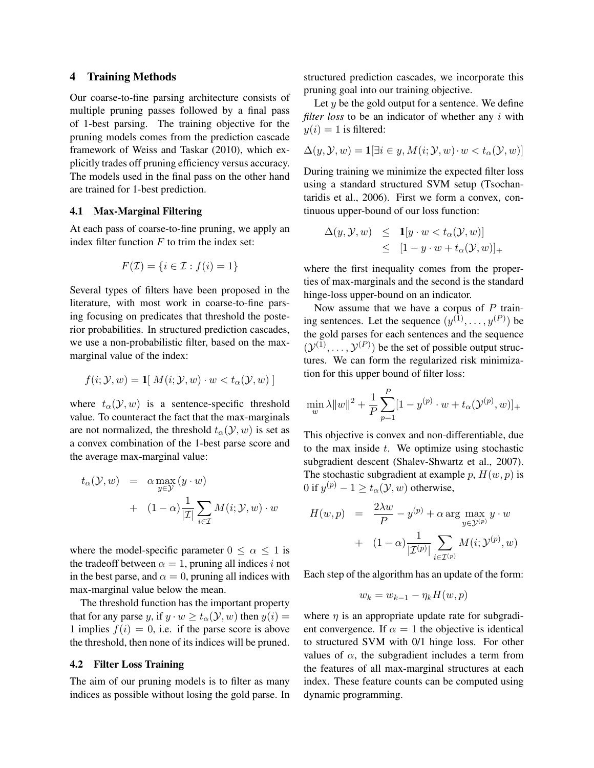#### 4 Training Methods

Our coarse-to-fine parsing architecture consists of multiple pruning passes followed by a final pass of 1-best parsing. The training objective for the pruning models comes from the prediction cascade framework of Weiss and Taskar (2010), which explicitly trades off pruning efficiency versus accuracy. The models used in the final pass on the other hand are trained for 1-best prediction.

### 4.1 Max-Marginal Filtering

At each pass of coarse-to-fine pruning, we apply an index filter function  $F$  to trim the index set:

$$
F(\mathcal{I}) = \{i \in \mathcal{I} : f(i) = 1\}
$$

Several types of filters have been proposed in the literature, with most work in coarse-to-fine parsing focusing on predicates that threshold the posterior probabilities. In structured prediction cascades, we use a non-probabilistic filter, based on the maxmarginal value of the index:

$$
f(i; \mathcal{Y}, w) = \mathbf{1}[ M(i; \mathcal{Y}, w) \cdot w < t_\alpha(\mathcal{Y}, w)]
$$

where  $t_{\alpha}(\mathcal{Y}, w)$  is a sentence-specific threshold value. To counteract the fact that the max-marginals are not normalized, the threshold  $t_{\alpha}(\mathcal{Y}, w)$  is set as a convex combination of the 1-best parse score and the average max-marginal value:

$$
t_{\alpha}(\mathcal{Y}, w) = \alpha \max_{y \in \mathcal{Y}} (y \cdot w)
$$
  
+ 
$$
(1 - \alpha) \frac{1}{|\mathcal{I}|} \sum_{i \in \mathcal{I}} M(i; \mathcal{Y}, w) \cdot w
$$

where the model-specific parameter  $0 \le \alpha \le 1$  is the tradeoff between  $\alpha = 1$ , pruning all indices i not in the best parse, and  $\alpha = 0$ , pruning all indices with max-marginal value below the mean.

The threshold function has the important property that for any parse y, if  $y \cdot w \ge t_\alpha(\mathcal{Y}, w)$  then  $y(i) =$ 1 implies  $f(i) = 0$ , i.e. if the parse score is above the threshold, then none of its indices will be pruned.

### 4.2 Filter Loss Training

The aim of our pruning models is to filter as many indices as possible without losing the gold parse. In structured prediction cascades, we incorporate this pruning goal into our training objective.

Let  $y$  be the gold output for a sentence. We define *filter loss* to be an indicator of whether any i with  $y(i) = 1$  is filtered:

$$
\Delta(y, \mathcal{Y}, w) = \mathbf{1}[\exists i \in y, M(i; \mathcal{Y}, w) \cdot w < t_\alpha(\mathcal{Y}, w)]
$$

During training we minimize the expected filter loss using a standard structured SVM setup (Tsochantaridis et al., 2006). First we form a convex, continuous upper-bound of our loss function:

$$
\Delta(y, \mathcal{Y}, w) \leq \mathbf{1}[y \cdot w < t_{\alpha}(\mathcal{Y}, w)]
$$
\n
$$
\leq [1 - y \cdot w + t_{\alpha}(\mathcal{Y}, w)]_{+}
$$

where the first inequality comes from the properties of max-marginals and the second is the standard hinge-loss upper-bound on an indicator.

Now assume that we have a corpus of  $P$  training sentences. Let the sequence  $(y^{(1)}, \ldots, y^{(P)})$  be the gold parses for each sentences and the sequence  $(\mathcal{Y}^{(1)}, \dots, \mathcal{Y}^{(P)})$  be the set of possible output structures. We can form the regularized risk minimization for this upper bound of filter loss:

$$
\min_{w} \lambda \|w\|^2 + \frac{1}{P}\sum_{p=1}^{P} [1 - y^{(p)} \cdot w + t_{\alpha}(\mathcal{Y}^{(p)}, w)]_+
$$

This objective is convex and non-differentiable, due to the max inside  $t$ . We optimize using stochastic subgradient descent (Shalev-Shwartz et al., 2007). The stochastic subgradient at example p,  $H(w, p)$  is 0 if  $y^{(p)} - 1 \ge t_\alpha(\mathcal{Y}, w)$  otherwise,

$$
H(w, p) = \frac{2\lambda w}{P} - y^{(p)} + \alpha \arg \max_{y \in \mathcal{Y}^{(p)}} y \cdot w
$$

$$
+ (1 - \alpha) \frac{1}{|\mathcal{I}^{(p)}|} \sum_{i \in \mathcal{I}^{(p)}} M(i; \mathcal{Y}^{(p)}, w)
$$

Each step of the algorithm has an update of the form:

$$
w_k = w_{k-1} - \eta_k H(w, p)
$$

where  $\eta$  is an appropriate update rate for subgradient convergence. If  $\alpha = 1$  the objective is identical to structured SVM with 0/1 hinge loss. For other values of  $\alpha$ , the subgradient includes a term from the features of all max-marginal structures at each index. These feature counts can be computed using dynamic programming.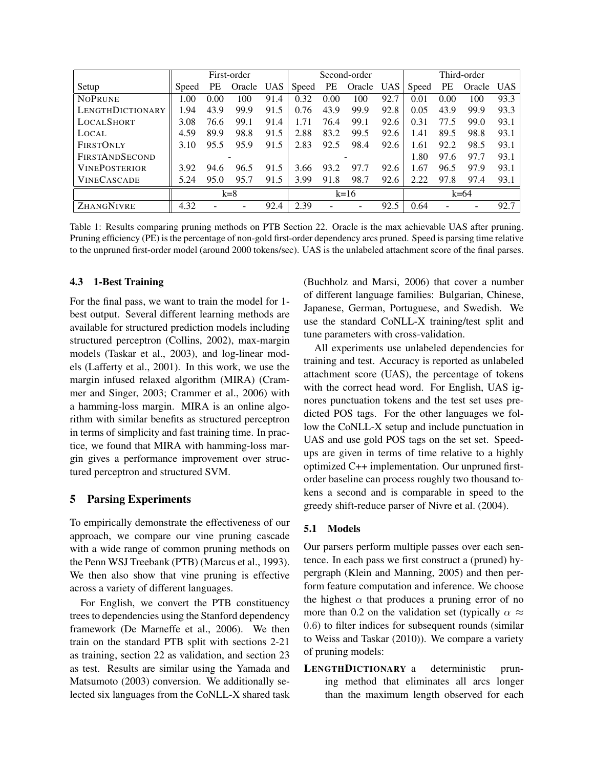|                         | First-order |           |        | Second-order |       |      | Third-order |      |       |      |        |      |
|-------------------------|-------------|-----------|--------|--------------|-------|------|-------------|------|-------|------|--------|------|
| Setup                   | Speed       | <b>PE</b> | Oracle | UAS          | Speed | PE   | Oracle      | UAS  | Speed | PE   | Oracle | UAS. |
| <b>NOPRUNE</b>          | 1.00        | 0.00      | 100    | 91.4         | 0.32  | 0.00 | 100         | 92.7 | 0.01  | 0.00 | 100    | 93.3 |
| <b>LENGTHDICTIONARY</b> | 1.94        | 43.9      | 99.9   | 91.5         | 0.76  | 43.9 | 99.9        | 92.8 | 0.05  | 43.9 | 99.9   | 93.3 |
| <b>LOCALSHORT</b>       | 3.08        | 76.6      | 99.1   | 91.4         | 1.71  | 76.4 | 99.1        | 92.6 | 0.31  | 77.5 | 99.0   | 93.1 |
| LOCAL                   | 4.59        | 89.9      | 98.8   | 91.5         | 2.88  | 83.2 | 99.5        | 92.6 | 1.41  | 89.5 | 98.8   | 93.1 |
| <b>FIRSTONLY</b>        | 3.10        | 95.5      | 95.9   | 91.5         | 2.83  | 92.5 | 98.4        | 92.6 | 1.61  | 92.2 | 98.5   | 93.1 |
| <b>FIRSTANDSECOND</b>   |             |           |        |              |       |      |             |      | 1.80  | 97.6 | 97.7   | 93.1 |
| <b>VINEPOSTERIOR</b>    | 3.92        | 94.6      | 96.5   | 91.5         | 3.66  | 93.2 | 97.7        | 92.6 | 1.67  | 96.5 | 97.9   | 93.1 |
| <b>VINECASCADE</b>      | 5.24        | 95.0      | 95.7   | 91.5         | 3.99  | 91.8 | 98.7        | 92.6 | 2.22  | 97.8 | 97.4   | 93.1 |
|                         | $k=8$       |           |        | $k = 16$     |       |      | $k=64$      |      |       |      |        |      |
| ZHANGNIVRE              | 4.32        |           |        | 92.4         | 2.39  |      |             | 92.5 | 0.64  |      |        | 92.7 |

Table 1: Results comparing pruning methods on PTB Section 22. Oracle is the max achievable UAS after pruning. Pruning efficiency (PE) is the percentage of non-gold first-order dependency arcs pruned. Speed is parsing time relative to the unpruned first-order model (around 2000 tokens/sec). UAS is the unlabeled attachment score of the final parses.

#### 4.3 1-Best Training

For the final pass, we want to train the model for 1 best output. Several different learning methods are available for structured prediction models including structured perceptron (Collins, 2002), max-margin models (Taskar et al., 2003), and log-linear models (Lafferty et al., 2001). In this work, we use the margin infused relaxed algorithm (MIRA) (Crammer and Singer, 2003; Crammer et al., 2006) with a hamming-loss margin. MIRA is an online algorithm with similar benefits as structured perceptron in terms of simplicity and fast training time. In practice, we found that MIRA with hamming-loss margin gives a performance improvement over structured perceptron and structured SVM.

#### 5 Parsing Experiments

To empirically demonstrate the effectiveness of our approach, we compare our vine pruning cascade with a wide range of common pruning methods on the Penn WSJ Treebank (PTB) (Marcus et al., 1993). We then also show that vine pruning is effective across a variety of different languages.

For English, we convert the PTB constituency trees to dependencies using the Stanford dependency framework (De Marneffe et al., 2006). We then train on the standard PTB split with sections 2-21 as training, section 22 as validation, and section 23 as test. Results are similar using the Yamada and Matsumoto (2003) conversion. We additionally selected six languages from the CoNLL-X shared task (Buchholz and Marsi, 2006) that cover a number of different language families: Bulgarian, Chinese, Japanese, German, Portuguese, and Swedish. We use the standard CoNLL-X training/test split and tune parameters with cross-validation.

All experiments use unlabeled dependencies for training and test. Accuracy is reported as unlabeled attachment score (UAS), the percentage of tokens with the correct head word. For English, UAS ignores punctuation tokens and the test set uses predicted POS tags. For the other languages we follow the CoNLL-X setup and include punctuation in UAS and use gold POS tags on the set set. Speedups are given in terms of time relative to a highly optimized C++ implementation. Our unpruned firstorder baseline can process roughly two thousand tokens a second and is comparable in speed to the greedy shift-reduce parser of Nivre et al. (2004).

#### 5.1 Models

Our parsers perform multiple passes over each sentence. In each pass we first construct a (pruned) hypergraph (Klein and Manning, 2005) and then perform feature computation and inference. We choose the highest  $\alpha$  that produces a pruning error of no more than 0.2 on the validation set (typically  $\alpha \approx$ 0.6) to filter indices for subsequent rounds (similar to Weiss and Taskar (2010)). We compare a variety of pruning models:

LENGTHDICTIONARY a deterministic pruning method that eliminates all arcs longer than the maximum length observed for each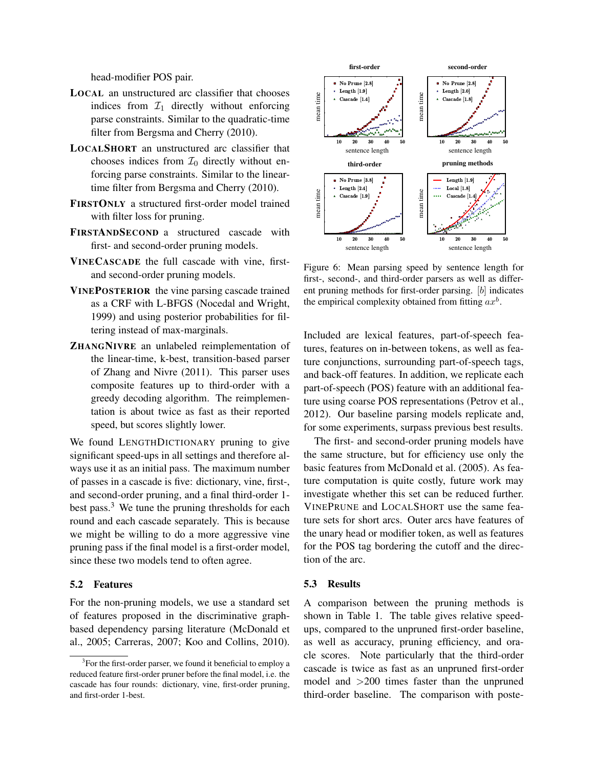head-modifier POS pair.

- LOCAL an unstructured arc classifier that chooses indices from  $\mathcal{I}_1$  directly without enforcing parse constraints. Similar to the quadratic-time filter from Bergsma and Cherry (2010).
- LOCALSHORT an unstructured arc classifier that chooses indices from  $\mathcal{I}_0$  directly without enforcing parse constraints. Similar to the lineartime filter from Bergsma and Cherry (2010).
- FIRSTONLY a structured first-order model trained with filter loss for pruning.
- FIRSTANDSECOND a structured cascade with first- and second-order pruning models.
- VINECASCADE the full cascade with vine, firstand second-order pruning models.
- VINEPOSTERIOR the vine parsing cascade trained as a CRF with L-BFGS (Nocedal and Wright, 1999) and using posterior probabilities for filtering instead of max-marginals.
- ZHANGNIVRE an unlabeled reimplementation of the linear-time, k-best, transition-based parser of Zhang and Nivre (2011). This parser uses composite features up to third-order with a greedy decoding algorithm. The reimplementation is about twice as fast as their reported speed, but scores slightly lower.

We found LENGTHDICTIONARY pruning to give significant speed-ups in all settings and therefore always use it as an initial pass. The maximum number of passes in a cascade is five: dictionary, vine, first-, and second-order pruning, and a final third-order 1 best pass.<sup>3</sup> We tune the pruning thresholds for each round and each cascade separately. This is because we might be willing to do a more aggressive vine pruning pass if the final model is a first-order model, since these two models tend to often agree.

### 5.2 Features

For the non-pruning models, we use a standard set of features proposed in the discriminative graphbased dependency parsing literature (McDonald et al., 2005; Carreras, 2007; Koo and Collins, 2010).



Figure 6: Mean parsing speed by sentence length for first-, second-, and third-order parsers as well as different pruning methods for first-order parsing. [b] indicates the empirical complexity obtained from fitting  $ax^b$ .

Included are lexical features, part-of-speech features, features on in-between tokens, as well as feature conjunctions, surrounding part-of-speech tags, and back-off features. In addition, we replicate each part-of-speech (POS) feature with an additional feature using coarse POS representations (Petrov et al., 2012). Our baseline parsing models replicate and, for some experiments, surpass previous best results.

The first- and second-order pruning models have the same structure, but for efficiency use only the basic features from McDonald et al. (2005). As feature computation is quite costly, future work may investigate whether this set can be reduced further. VINEPRUNE and LOCALSHORT use the same feature sets for short arcs. Outer arcs have features of the unary head or modifier token, as well as features for the POS tag bordering the cutoff and the direction of the arc.

### 5.3 Results

A comparison between the pruning methods is shown in Table 1. The table gives relative speedups, compared to the unpruned first-order baseline, as well as accuracy, pruning efficiency, and oracle scores. Note particularly that the third-order cascade is twice as fast as an unpruned first-order model and >200 times faster than the unpruned third-order baseline. The comparison with poste-

<sup>&</sup>lt;sup>3</sup> For the first-order parser, we found it beneficial to employ a reduced feature first-order pruner before the final model, i.e. the cascade has four rounds: dictionary, vine, first-order pruning, and first-order 1-best.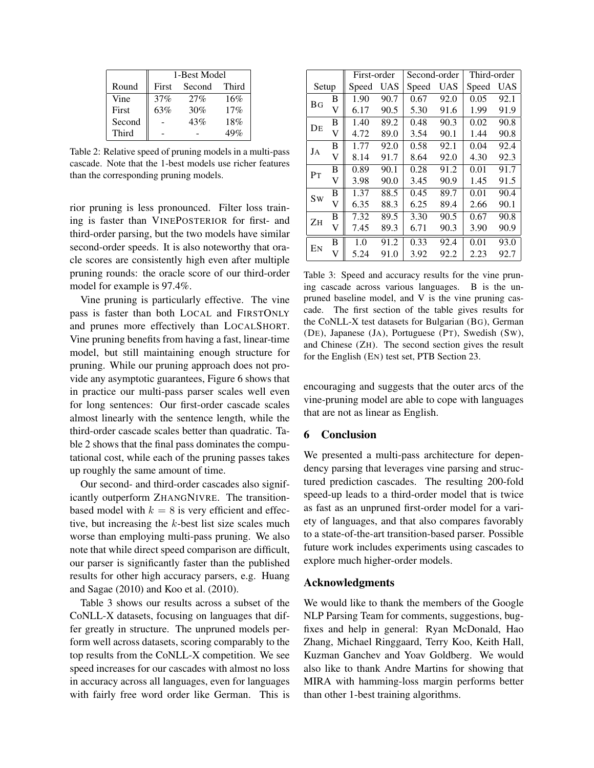|        | 1-Best Model |        |       |  |  |  |  |
|--------|--------------|--------|-------|--|--|--|--|
| Round  | First        | Second | Third |  |  |  |  |
| Vine   | 37%          | 27%    | 16%   |  |  |  |  |
| First  | 63%          | 30%    | 17%   |  |  |  |  |
| Second |              | 43%    | 18%   |  |  |  |  |
| Third  |              |        | 49%   |  |  |  |  |

Table 2: Relative speed of pruning models in a multi-pass cascade. Note that the 1-best models use richer features than the corresponding pruning models.

rior pruning is less pronounced. Filter loss training is faster than VINEPOSTERIOR for first- and third-order parsing, but the two models have similar second-order speeds. It is also noteworthy that oracle scores are consistently high even after multiple pruning rounds: the oracle score of our third-order model for example is 97.4%.

Vine pruning is particularly effective. The vine pass is faster than both LOCAL and FIRSTONLY and prunes more effectively than LOCALSHORT. Vine pruning benefits from having a fast, linear-time model, but still maintaining enough structure for pruning. While our pruning approach does not provide any asymptotic guarantees, Figure 6 shows that in practice our multi-pass parser scales well even for long sentences: Our first-order cascade scales almost linearly with the sentence length, while the third-order cascade scales better than quadratic. Table 2 shows that the final pass dominates the computational cost, while each of the pruning passes takes up roughly the same amount of time.

Our second- and third-order cascades also significantly outperform ZHANGNIVRE. The transitionbased model with  $k = 8$  is very efficient and effective, but increasing the  $k$ -best list size scales much worse than employing multi-pass pruning. We also note that while direct speed comparison are difficult, our parser is significantly faster than the published results for other high accuracy parsers, e.g. Huang and Sagae (2010) and Koo et al. (2010).

Table 3 shows our results across a subset of the CoNLL-X datasets, focusing on languages that differ greatly in structure. The unpruned models perform well across datasets, scoring comparably to the top results from the CoNLL-X competition. We see speed increases for our cascades with almost no loss in accuracy across all languages, even for languages with fairly free word order like German. This is

|                |   | First-order |      | Second-order |      | Third-order |      |  |
|----------------|---|-------------|------|--------------|------|-------------|------|--|
| Setup          |   | Speed       | UAS  | Speed        | UAS  | Speed       | UAS  |  |
| <b>BG</b>      | В | 1.90        | 90.7 | 0.67         | 92.0 | 0.05        | 92.1 |  |
|                | V | 6.17        | 90.5 | 5.30         | 91.6 | 1.99        | 91.9 |  |
| DE             | В | 1.40        | 89.2 | 0.48         | 90.3 | 0.02        | 90.8 |  |
|                | V | 4.72        | 89.0 | 3.54         | 90.1 | 1.44        | 90.8 |  |
| JA             | B | 1.77        | 92.0 | 0.58         | 92.1 | 0.04        | 92.4 |  |
|                | V | 8.14        | 91.7 | 8.64         | 92.0 | 4.30        | 92.3 |  |
| P <sub>T</sub> | B | 0.89        | 90.1 | 0.28         | 91.2 | 0.01        | 91.7 |  |
|                | V | 3.98        | 90.0 | 3.45         | 90.9 | 1.45        | 91.5 |  |
| Sw             | B | 1.37        | 88.5 | 0.45         | 89.7 | 0.01        | 90.4 |  |
|                | V | 6.35        | 88.3 | 6.25         | 89.4 | 2.66        | 90.1 |  |
| Zн             | B | 7.32        | 89.5 | 3.30         | 90.5 | 0.67        | 90.8 |  |
|                | V | 7.45        | 89.3 | 6.71         | 90.3 | 3.90        | 90.9 |  |
| EN             | B | 1.0         | 91.2 | 0.33         | 92.4 | 0.01        | 93.0 |  |
|                | V | 5.24        | 91.0 | 3.92         | 92.2 | 2.23        | 92.7 |  |

Table 3: Speed and accuracy results for the vine pruning cascade across various languages. B is the unpruned baseline model, and V is the vine pruning cascade. The first section of the table gives results for the CoNLL-X test datasets for Bulgarian (BG), German (DE), Japanese (JA), Portuguese (PT), Swedish (SW), and Chinese (ZH). The second section gives the result for the English (EN) test set, PTB Section 23.

encouraging and suggests that the outer arcs of the vine-pruning model are able to cope with languages that are not as linear as English.

### 6 Conclusion

We presented a multi-pass architecture for dependency parsing that leverages vine parsing and structured prediction cascades. The resulting 200-fold speed-up leads to a third-order model that is twice as fast as an unpruned first-order model for a variety of languages, and that also compares favorably to a state-of-the-art transition-based parser. Possible future work includes experiments using cascades to explore much higher-order models.

# Acknowledgments

We would like to thank the members of the Google NLP Parsing Team for comments, suggestions, bugfixes and help in general: Ryan McDonald, Hao Zhang, Michael Ringgaard, Terry Koo, Keith Hall, Kuzman Ganchev and Yoav Goldberg. We would also like to thank Andre Martins for showing that MIRA with hamming-loss margin performs better than other 1-best training algorithms.